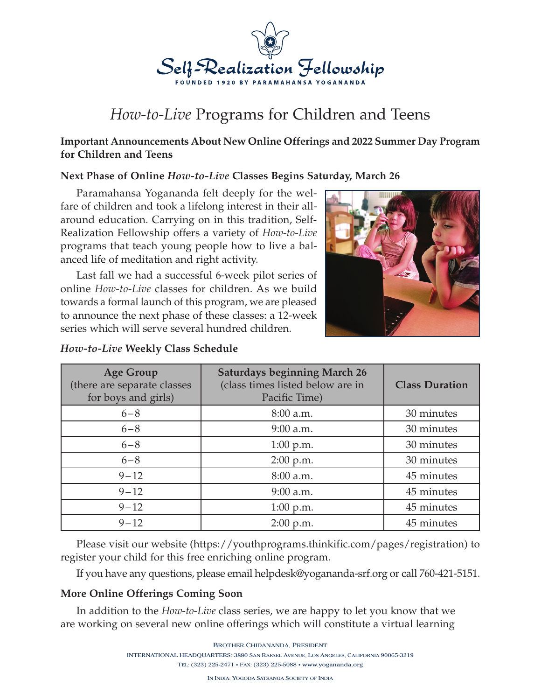

# *How-to-Live* Programs for Children and Teens

## **Important Announcements About New Online Offerings and 2022 Summer Day Program for Children and Teens**

#### **Next Phase of Online** *How-to-Live* **Classes Begins Saturday, March 26**

Paramahansa Yogananda felt deeply for the welfare of children and took a lifelong interest in their allaround education. Carrying on in this tradition, Self-Realization Fellowship offers a variety of *How-to-Live* programs that teach young people how to live a balanced life of meditation and right activity.

Last fall we had a successful 6-week pilot series of online *How-to-Live* classes for children. As we build towards a formal launch of this program, we are pleased to announce the next phase of these classes: a 12-week series which will serve several hundred children.



## *How-to-Live* **Weekly Class Schedule**

| <b>Age Group</b><br>(there are separate classes<br>for boys and girls) | <b>Saturdays beginning March 26</b><br>(class times listed below are in<br>Pacific Time) | <b>Class Duration</b> |
|------------------------------------------------------------------------|------------------------------------------------------------------------------------------|-----------------------|
| $6 - 8$                                                                | 8:00 a.m.                                                                                | 30 minutes            |
| $6 - 8$                                                                | $9:00$ a.m.                                                                              | 30 minutes            |
| $6 - 8$                                                                | $1:00$ p.m.                                                                              | 30 minutes            |
| $6 - 8$                                                                | $2:00$ p.m.                                                                              | 30 minutes            |
| $9 - 12$                                                               | 8:00 a.m.                                                                                | 45 minutes            |
| $9 - 12$                                                               | 9:00 a.m.                                                                                | 45 minutes            |
| $9 - 12$                                                               | $1:00$ p.m.                                                                              | 45 minutes            |
| $9 - 12$                                                               | $2:00$ p.m.                                                                              | 45 minutes            |

Please visit our website (https://youthprograms.thinkific.com/pages/registration) to register your child for this free enriching online program.

If you have any questions, please email helpdesk@yogananda-srf.org or call 760-421-5151.

## **More Online Offerings Coming Soon**

In addition to the *How-to-Live* class series, we are happy to let you know that we are working on several new online offerings which will constitute a virtual learning

BROTHER CHIDANANDA, PRESIDENT

INTERNATIONAL HEADQUARTERS: 3880 SAN RAFAEL AVENUE, LOS ANGELES, CALIFORNIA 90065-3219

TEL: (323) 225-2471 • FAX: (323) 225-5088 • www.yogananda.org